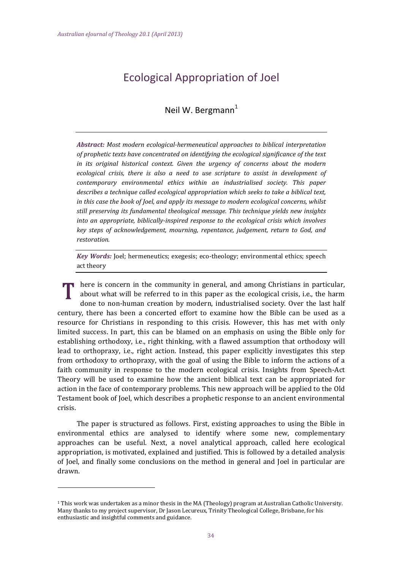# Ecological Appropriation of Joel

# Neil W. Bergmann $<sup>1</sup>$ </sup>

*Abstract: Most modern ecological‐hermeneutical approaches to biblical interpretation of prophetic texts have concentrated on identifying the ecological significance of the text in its original historical context. Given the urgency of concerns about the modern ecological crisis, there is also a need to use scripture to assist in development of contemporary environmental ethics within an industrialised society. This paper describes a technique called ecological appropriation which seeks to take a biblical text, in this case the book of Joel, and apply its message to modern ecological concerns, whilst still preserving its fundamental theological message. This technique yields new insights into an appropriate, biblically‐inspired response to the ecological crisis which involves key steps of acknowledgement, mourning, repentance, judgement, return to God, and restoration.*

*Key Words:* Joel; hermeneutics; exegesis; eco-theology; environmental ethics; speech act theory

**here** is concern in the community in general, and among Christians in particular, about what will be referred to in this paper as the ecological crisis, i.e., the harm done to non-human creation by modern, industrialised society. Over the last half century, there has been a concerted effort to examine how the Bible can be used as a resource for Christians in responding to this crisis. However, this has met with only limited success. In part, this can be blamed on an emphasis on using the Bible only for establishing orthodoxy, i.e., right thinking, with a flawed assumption that orthodoxy will lead to orthopraxy, i.e., right action. Instead, this paper explicitly investigates this step from orthodoxy to orthopraxy, with the goal of using the Bible to inform the actions of a faith community in response to the modern ecological crisis. Insights from Speech-Act Theory will be used to examine how the ancient biblical text can be appropriated for action in the face of contemporary problems. This new approach will be applied to the Old Testament book of Joel, which describes a prophetic response to an ancient environmental crisis. 

The paper is structured as follows. First, existing approaches to using the Bible in environmental ethics are analysed to identify where some new, complementary approaches can be useful. Next, a novel analytical approach, called here ecological appropriation, is motivated, explained and justified. This is followed by a detailed analysis of Joel, and finally some conclusions on the method in general and Joel in particular are drawn. 

 $1$  This work was undertaken as a minor thesis in the MA (Theology) program at Australian Catholic University. Many thanks to my project supervisor, Dr Jason Lecureux, Trinity Theological College, Brisbane, for his enthusiastic and insightful comments and guidance.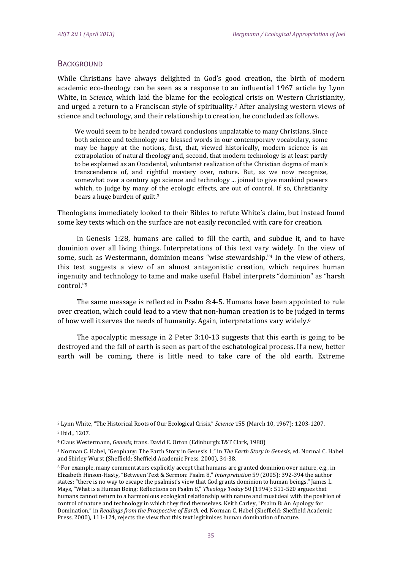## **BACKGROUND**

While Christians have always delighted in God's good creation, the birth of modern academic eco-theology can be seen as a response to an influential 1967 article by Lynn White, in *Science*, which laid the blame for the ecological crisis on Western Christianity, and urged a return to a Franciscan style of spirituality.<sup>2</sup> After analysing western views of science and technology, and their relationship to creation, he concluded as follows.

We would seem to be headed toward conclusions unpalatable to many Christians. Since both science and technology are blessed words in our contemporary vocabulary, some may be happy at the notions, first, that, viewed historically, modern science is an extrapolation of natural theology and, second, that modern technology is at least partly to be explained as an Occidental, voluntarist realization of the Christian dogma of man's transcendence of, and rightful mastery over, nature. But, as we now recognize, somewhat over a century ago science and technology ... joined to give mankind powers which, to judge by many of the ecologic effects, are out of control. If so, Christianity bears a huge burden of guilt. $3$ 

Theologians immediately looked to their Bibles to refute White's claim, but instead found some key texts which on the surface are not easily reconciled with care for creation.

In Genesis 1:28, humans are called to fill the earth, and subdue it, and to have dominion over all living things. Interpretations of this text vary widely. In the view of some, such as Westermann, dominion means "wise stewardship."<sup>4</sup> In the view of others, this text suggests a view of an almost antagonistic creation, which requires human ingenuity and technology to tame and make useful. Habel interprets "dominion" as "harsh control."5

The same message is reflected in Psalm 8:4-5. Humans have been appointed to rule over creation, which could lead to a view that non-human creation is to be judged in terms of how well it serves the needs of humanity. Again, interpretations vary widely.<sup>6</sup>

The apocalyptic message in 2 Peter  $3:10-13$  suggests that this earth is going to be destroyed and the fall of earth is seen as part of the eschatological process. If a new, better earth will be coming, there is little need to take care of the old earth. Extreme

<sup>&</sup>lt;sup>2</sup> Lynn White, "The Historical Roots of Our Ecological Crisis," Science 155 (March 10, 1967): 1203-1207.

<sup>&</sup>lt;sup>3</sup> Ibid., 1207.

<sup>&</sup>lt;sup>4</sup> Claus Westermann, *Genesis*, trans. David E. Orton (Edinburgh:T&T Clark, 1988)

<sup>5</sup> Norman C. Habel, "Geophany: The Earth Story in Genesis 1," in *The Earth Story in Genesis,* ed*.* Normal C. Habel and Shirley Wurst (Sheffield: Sheffield Academic Press, 2000), 34-38.

 $6$  For example, many commentators explicitly accept that humans are granted dominion over nature, e.g., in Elizabeth Hinson-Hasty, "Between Text & Sermon: Psalm 8," Interpretation 59 (2005): 392-394 the author states: "there is no way to escape the psalmist's view that God grants dominion to human beings." James L. Mays, "What is a Human Being: Reflections on Psalm 8," *Theology Today* 50 (1994): 511-520 argues that humans cannot return to a harmonious ecological relationship with nature and must deal with the position of control of nature and technology in which they find themselves. Keith Carley, "Psalm 8: An Apology for Domination," in *Readings from the Prospective of Earth,* ed*.* Norman C. Habel (Sheffield: Sheffield Academic Press, 2000), 111-124, rejects the view that this text legitimises human domination of nature.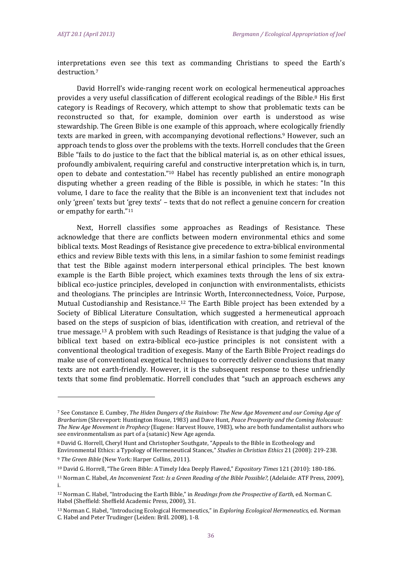interpretations even see this text as commanding Christians to speed the Earth's destruction.7

David Horrell's wide-ranging recent work on ecological hermeneutical approaches provides a very useful classification of different ecological readings of the Bible.<sup>8</sup> His first category is Readings of Recovery, which attempt to show that problematic texts can be reconstructed so that, for example, dominion over earth is understood as wise stewardship. The Green Bible is one example of this approach, where ecologically friendly texts are marked in green, with accompanying devotional reflections.<sup>9</sup> However, such an approach tends to gloss over the problems with the texts. Horrell concludes that the Green Bible "fails to do justice to the fact that the biblical material is, as on other ethical issues, profoundly ambivalent, requiring careful and constructive interpretation which is, in turn, open to debate and contestation."<sup>10</sup> Habel has recently published an entire monograph disputing whether a green reading of the Bible is possible, in which he states: "In this volume, I dare to face the reality that the Bible is an inconvenient text that includes not only 'green' texts but 'grey texts' – texts that do not reflect a genuine concern for creation or empathy for earth."<sup>11</sup>

Next, Horrell classifies some approaches as Readings of Resistance. These acknowledge that there are conflicts between modern environmental ethics and some biblical texts. Most Readings of Resistance give precedence to extra-biblical environmental ethics and review Bible texts with this lens, in a similar fashion to some feminist readings that test the Bible against modern interpersonal ethical principles. The best known example is the Earth Bible project, which examines texts through the lens of six extrabiblical eco-justice principles, developed in conjunction with environmentalists, ethicists and theologians. The principles are Intrinsic Worth, Interconnectedness, Voice, Purpose, Mutual Custodianship and Resistance.<sup>12</sup> The Earth Bible project has been extended by a Society of Biblical Literature Consultation, which suggested a hermeneutical approach based on the steps of suspicion of bias, identification with creation, and retrieval of the true message.<sup>13</sup> A problem with such Readings of Resistance is that judging the value of a biblical text based on extra-biblical eco-justice principles is not consistent with a conventional theological tradition of exegesis. Many of the Earth Bible Project readings do make use of conventional exegetical techniques to correctly deliver conclusions that many texts are not earth-friendly. However, it is the subsequent response to these unfriendly texts that some find problematic. Horrell concludes that "such an approach eschews any

<sup>7</sup> See Constance E. Cumbey, *The Hiden Dangers of the Rainbow: The New Age Movement and our Coming Age of Brarbarism* (Shreveport: Huntington House, 1983) and Dave Hunt, *Peace Prosperity and the Coming Holocaust: The New Age Movement in Prophecy* (Eugene: Harvest Houve, 1983), who are both fundamentalist authors who see environmentalism as part of a (satanic) New Age agenda.

<sup>8</sup> David G. Horrell, Cheryl Hunt and Christopher Southgate, "Appeals to the Bible in Ecotheology and Environmental Ethics: a Typology of Hermeneutical Stances," *Studies in Christian Ethics* 21 (2008): 219‐238. <sup>9</sup> *The Green Bible* (New York: Harper Collins, 2011).

<sup>10</sup> David G. Horrell, "The Green Bible: A Timely Idea Deeply Flawed," *Expository Times* 121 (2010): 180-186.

<sup>11</sup> Norman C. Habel, *An Inconvenient Text: Is a Green Reading of the Bible Possible?,* (Adelaide: ATF Press, 2009), i. 

<sup>12</sup> Norman C. Habel, "Introducing the Earth Bible," in *Readings from the Prospective of Earth*, ed. Norman C. Habel (Sheffield: Sheffield Academic Press, 2000), 31.

<sup>13</sup> Norman C. Habel, "Introducing Ecological Hermeneutics," in *Exploring Ecological Hermeneutics*, ed. Norman C. Habel and Peter Trudinger (Leiden: Brill. 2008), 1-8.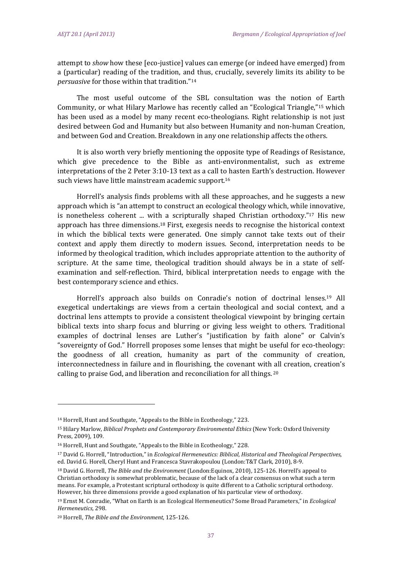attempt to *show* how these [eco-justice] values can emerge (or indeed have emerged) from a (particular) reading of the tradition, and thus, crucially, severely limits its ability to be *persuasive* for those within that tradition."<sup>14</sup>

The most useful outcome of the SBL consultation was the notion of Earth Community, or what Hilary Marlowe has recently called an "Ecological Triangle,"<sup>15</sup> which has been used as a model by many recent eco-theologians. Right relationship is not just desired between God and Humanity but also between Humanity and non-human Creation, and between God and Creation. Breakdown in any one relationship affects the others.

It is also worth very briefly mentioning the opposite type of Readings of Resistance, which give precedence to the Bible as anti-environmentalist, such as extreme interpretations of the 2 Peter 3:10-13 text as a call to hasten Earth's destruction. However such views have little mainstream academic support.<sup>16</sup>

Horrell's analysis finds problems with all these approaches, and he suggests a new approach which is "an attempt to construct an ecological theology which, while innovative, is nonetheless coherent ... with a scripturally shaped Christian orthodoxy."<sup>17</sup> His new approach has three dimensions.<sup>18</sup> First, exegesis needs to recognise the historical context in which the biblical texts were generated. One simply cannot take texts out of their context and apply them directly to modern issues. Second, interpretation needs to be informed by theological tradition, which includes appropriate attention to the authority of scripture. At the same time, theological tradition should always be in a state of selfexamination and self-reflection. Third, biblical interpretation needs to engage with the best contemporary science and ethics.

Horrell's approach also builds on Conradie's notion of doctrinal lenses.<sup>19</sup> All exegetical undertakings are views from a certain theological and social context, and a doctrinal lens attempts to provide a consistent theological viewpoint by bringing certain biblical texts into sharp focus and blurring or giving less weight to others. Traditional examples of doctrinal lenses are Luther's "justification by faith alone" or Calvin's "sovereignty of God." Horrell proposes some lenses that might be useful for eco-theology: the goodness of all creation, humanity as part of the community of creation, interconnectedness in failure and in flourishing, the covenant with all creation, creation's calling to praise God, and liberation and reconciliation for all things.  $20$ 

<sup>&</sup>lt;sup>14</sup> Horrell, Hunt and Southgate, "Appeals to the Bible in Ecotheology," 223.

<sup>15</sup> Hilary Marlow, *Biblical Prophets and Contemporary Environmental Ethics* (New York: Oxford University Press, 2009), 109.

<sup>&</sup>lt;sup>16</sup> Horrell, Hunt and Southgate, "Appeals to the Bible in Ecotheology," 228.

<sup>17</sup> David G. Horrell, "Introduction," in *Ecological Hermeneutics: Biblical, Historical and Theological Perspectives,* ed. David G. Horell, Cheryl Hunt and Francesca Stavrakopoulou (London:T&T Clark, 2010), 8-9.

<sup>18</sup> David G. Horrell, *The Bible and the Environment* (London:Equinox, 2010), 125‐126. Horrell's appeal to Christian orthodoxy is somewhat problematic, because of the lack of a clear consensus on what such a term means. For example, a Protestant scriptural orthodoxy is quite different to a Catholic scriptural orthodoxy. However, his three dimensions provide a good explanation of his particular view of orthodoxy.

<sup>19</sup> Ernst M. Conradie, "What on Earth is an Ecological Hermeneutics? Some Broad Parameters," in *Ecological Hermeneutics,* 298. 

<sup>20</sup> Horrell, *The Bible and the Environment*, 125‐126.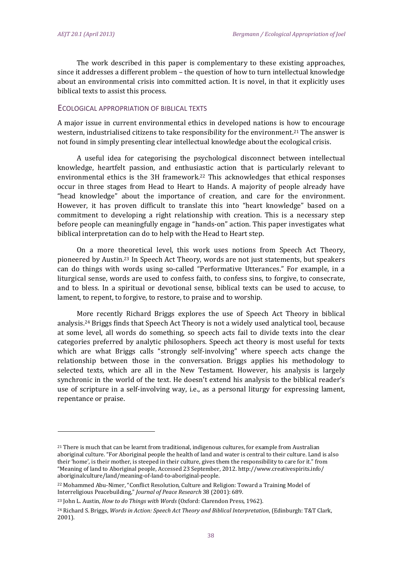The work described in this paper is complementary to these existing approaches, since it addresses a different problem – the question of how to turn intellectual knowledge about an environmental crisis into committed action. It is novel, in that it explicitly uses biblical texts to assist this process.

#### ECOLOGICAL APPROPRIATION OF BIBLICAL TEXTS

A major issue in current environmental ethics in developed nations is how to encourage western, industrialised citizens to take responsibility for the environment.<sup>21</sup> The answer is not found in simply presenting clear intellectual knowledge about the ecological crisis.

A useful idea for categorising the psychological disconnect between intellectual knowledge, heartfelt passion, and enthusiastic action that is particularly relevant to environmental ethics is the 3H framework.<sup>22</sup> This acknowledges that ethical responses occur in three stages from Head to Heart to Hands. A majority of people already have "head knowledge" about the importance of creation, and care for the environment. However, it has proven difficult to translate this into "heart knowledge" based on a commitment to developing a right relationship with creation. This is a necessary step before people can meaningfully engage in "hands-on" action. This paper investigates what biblical interpretation can do to help with the Head to Heart step.

On a more theoretical level, this work uses notions from Speech Act Theory, pioneered by Austin.<sup>23</sup> In Speech Act Theory, words are not just statements, but speakers can do things with words using so-called "Performative Utterances." For example, in a liturgical sense, words are used to confess faith, to confess sins, to forgive, to consecrate, and to bless. In a spiritual or devotional sense, biblical texts can be used to accuse, to lament, to repent, to forgive, to restore, to praise and to worship.

More recently Richard Briggs explores the use of Speech Act Theory in biblical analysis.<sup>24</sup> Briggs finds that Speech Act Theory is not a widely used analytical tool, because at some level, all words do something, so speech acts fail to divide texts into the clear categories preferred by analytic philosophers. Speech act theory is most useful for texts which are what Briggs calls "strongly self-involving" where speech acts change the relationship between those in the conversation. Briggs applies his methodology to selected texts, which are all in the New Testament. However, his analysis is largely synchronic in the world of the text. He doesn't extend his analysis to the biblical reader's use of scripture in a self-involving way, i.e., as a personal liturgy for expressing lament, repentance or praise.

<sup>&</sup>lt;sup>21</sup> There is much that can be learnt from traditional, indigenous cultures, for example from Australian aboriginal culture. "For Aboriginal people the health of land and water is central to their culture. Land is also their 'home', is their mother, is steeped in their culture, gives them the responsibility to care for it." from "Meaning of land to Aboriginal people, Accessed 23 September, 2012. http://www.creativespirits.info/ aboriginalculture/land/meaning‐of‐land‐to‐aboriginal‐people. 

<sup>&</sup>lt;sup>22</sup> Mohammed Abu-Nimer, "Conflict Resolution, Culture and Religion: Toward a Training Model of Interreligious Peacebuilding," *Journal of Peace Research* 38 (2001): 689. 

<sup>23</sup> John L. Austin, *How to do Things with Words* (Oxford: Clarendon Press, 1962). 

<sup>24</sup> Richard S. Briggs, *Words in Action: Speech Act Theory and Biblical Interpretation*, (Edinburgh: T&T Clark, 2001).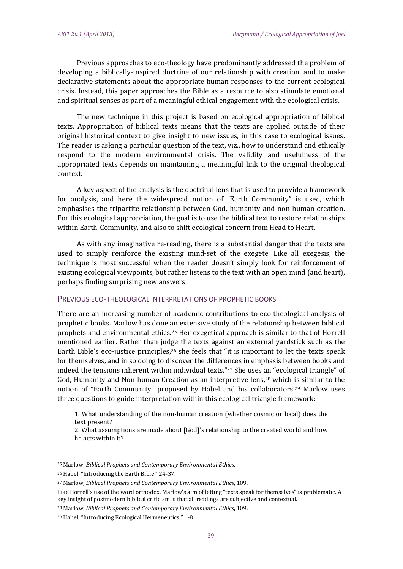Previous approaches to eco-theology have predominantly addressed the problem of developing a biblically-inspired doctrine of our relationship with creation, and to make declarative statements about the appropriate human responses to the current ecological crisis. Instead, this paper approaches the Bible as a resource to also stimulate emotional and spiritual senses as part of a meaningful ethical engagement with the ecological crisis.

The new technique in this project is based on ecological appropriation of biblical texts. Appropriation of biblical texts means that the texts are applied outside of their original historical context to give insight to new issues, in this case to ecological issues. The reader is asking a particular question of the text, viz., how to understand and ethically respond to the modern environmental crisis. The validity and usefulness of the appropriated texts depends on maintaining a meaningful link to the original theological context. 

A key aspect of the analysis is the doctrinal lens that is used to provide a framework for analysis, and here the widespread notion of "Earth Community" is used, which emphasises the tripartite relationship between God, humanity and non-human creation. For this ecological appropriation, the goal is to use the biblical text to restore relationships within Earth-Community, and also to shift ecological concern from Head to Heart.

As with any imaginative re-reading, there is a substantial danger that the texts are used to simply reinforce the existing mind-set of the exegete. Like all exegesis, the technique is most successful when the reader doesn't simply look for reinforcement of existing ecological viewpoints, but rather listens to the text with an open mind (and heart), perhaps finding surprising new answers.

#### PREVIOUS ECO‐THEOLOGICAL INTERPRETATIONS OF PROPHETIC BOOKS

There are an increasing number of academic contributions to eco-theological analysis of prophetic books. Marlow has done an extensive study of the relationship between biblical prophets and environmental ethics.<sup>25</sup> Her exegetical approach is similar to that of Horrell mentioned earlier. Rather than judge the texts against an external yardstick such as the Earth Bible's eco-justice principles, $26$  she feels that "it is important to let the texts speak for themselves, and in so doing to discover the differences in emphasis between books and indeed the tensions inherent within individual texts."27 She uses an "ecological triangle" of God, Humanity and Non-human Creation as an interpretive lens,<sup>28</sup> which is similar to the notion of "Earth Community" proposed by Habel and his collaborators.<sup>29</sup> Marlow uses three questions to guide interpretation within this ecological triangle framework:

1. What understanding of the non-human creation (whether cosmic or local) does the text present?

2. What assumptions are made about [God]'s relationship to the created world and how he acts within it?

<sup>25</sup> Marlow, *Biblical Prophets and Contemporary Environmental Ethics*. 

<sup>&</sup>lt;sup>26</sup> Habel, "Introducing the Earth Bible," 24-37.

<sup>27</sup> Marlow, *Biblical Prophets and Contemporary Environmental Ethics*, 109. 

Like Horrell's use of the word orthodox, Marlow's aim of letting "texts speak for themselves" is problematic. A key insight of postmodern biblical criticism is that all readings are subjective and contextual.

<sup>28</sup> Marlow, *Biblical Prophets and Contemporary Environmental Ethics*, 109. 

<sup>&</sup>lt;sup>29</sup> Habel, "Introducing Ecological Hermeneutics," 1-8.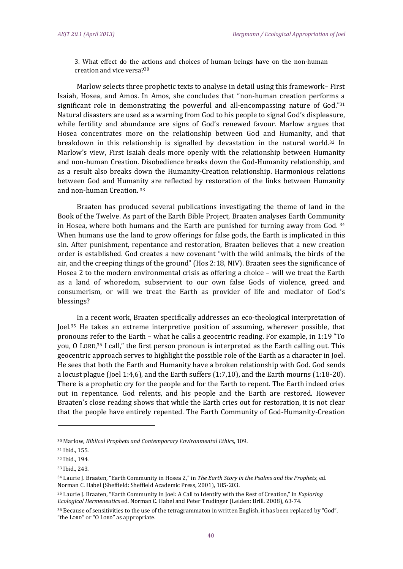3. What effect do the actions and choices of human beings have on the non-human creation and vice versa?<sup>30</sup>

Marlow selects three prophetic texts to analyse in detail using this framework– First Isaiah, Hosea, and Amos. In Amos, she concludes that "non-human creation performs a significant role in demonstrating the powerful and all-encompassing nature of  $God."31$ Natural disasters are used as a warning from God to his people to signal God's displeasure, while fertility and abundance are signs of God's renewed favour. Marlow argues that Hosea concentrates more on the relationship between God and Humanity, and that breakdown in this relationship is signalled by devastation in the natural world.<sup>32</sup> In Marlow's view, First Isaiah deals more openly with the relationship between Humanity and non-human Creation. Disobedience breaks down the God-Humanity relationship, and as a result also breaks down the Humanity-Creation relationship. Harmonious relations between God and Humanity are reflected by restoration of the links between Humanity and non-human Creation.<sup>33</sup>

Braaten has produced several publications investigating the theme of land in the Book of the Twelve. As part of the Earth Bible Project, Braaten analyses Earth Community in Hosea, where both humans and the Earth are punished for turning away from God.  $34$ When humans use the land to grow offerings for false gods, the Earth is implicated in this sin. After punishment, repentance and restoration, Braaten believes that a new creation order is established. God creates a new covenant "with the wild animals, the birds of the air, and the creeping things of the ground" (Hos  $2:18$ , NIV). Braaten sees the significance of Hosea 2 to the modern environmental crisis as offering a choice  $-$  will we treat the Earth as a land of whoredom, subservient to our own false Gods of violence, greed and consumerism, or will we treat the Earth as provider of life and mediator of God's blessings? 

In a recent work, Braaten specifically addresses an eco-theological interpretation of Joel.<sup>35</sup> He takes an extreme interpretive position of assuming, wherever possible, that pronouns refer to the Earth – what he calls a geocentric reading. For example, in 1:19 "To you, O LORD,<sup>36</sup> I call," the first person pronoun is interpreted as the Earth calling out. This geocentric approach serves to highlight the possible role of the Earth as a character in Joel. He sees that both the Earth and Humanity have a broken relationship with God. God sends a locust plague (Joel 1:4,6), and the Earth suffers  $(1:7,10)$ , and the Earth mourns  $(1:18-20)$ . There is a prophetic cry for the people and for the Earth to repent. The Earth indeed cries out in repentance. God relents, and his people and the Earth are restored. However Braaten's close reading shows that while the Earth cries out for restoration, it is not clear that the people have entirely repented. The Earth Community of God-Humanity-Creation

<sup>30</sup> Marlow, *Biblical Prophets and Contemporary Environmental Ethics*, 109. 

<sup>31</sup> Ibid., 155.

<sup>32</sup> Ibid., 194.

<sup>33</sup> Ibid., 243.

<sup>34</sup> Laurie J. Braaten, "Earth Community in Hosea 2," in *The Earth Story in the Psalms and the Prophets,* ed. Norman C. Habel (Sheffield: Sheffield Academic Press, 2001), 185-203.

<sup>&</sup>lt;sup>35</sup> Laurie I. Braaten, "Earth Community in Joel: A Call to Identify with the Rest of Creation," in *Exploring Ecological Hermeneutics* ed. Norman C. Habel and Peter Trudinger (Leiden: Brill. 2008), 63‐74. 

<sup>36</sup> Because of sensitivities to the use of the tetragrammaton in written English, it has been replaced by "God", "the LORD" or "O LORD" as appropriate.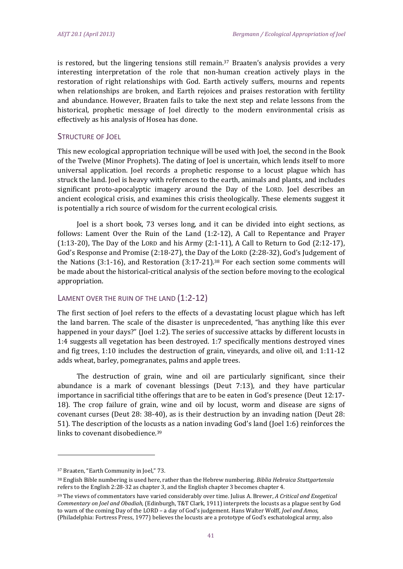is restored, but the lingering tensions still remain.<sup>37</sup> Braaten's analysis provides a very interesting interpretation of the role that non-human creation actively plays in the restoration of right relationships with God. Earth actively suffers, mourns and repents when relationships are broken, and Earth rejoices and praises restoration with fertility and abundance. However, Braaten fails to take the next step and relate lessons from the historical, prophetic message of Joel directly to the modern environmental crisis as effectively as his analysis of Hosea has done.

#### STRUCTURE OF JOEL

This new ecological appropriation technique will be used with [oel, the second in the Book of the Twelve (Minor Prophets). The dating of loel is uncertain, which lends itself to more universal application. Joel records a prophetic response to a locust plague which has struck the land. Joel is heavy with references to the earth, animals and plants, and includes significant proto-apocalyptic imagery around the Day of the LORD. Joel describes an ancient ecological crisis, and examines this crisis theologically. These elements suggest it is potentially a rich source of wisdom for the current ecological crisis.

Joel is a short book, 73 verses long, and it can be divided into eight sections, as follows: Lament Over the Ruin of the Land  $(1:2-12)$ , A Call to Repentance and Prayer  $(1:13-20)$ , The Day of the LORD and his Army  $(2:1-11)$ , A Call to Return to God  $(2:12-17)$ , God's Response and Promise  $(2:18-27)$ , the Day of the LORD  $(2:28-32)$ , God's Judgement of the Nations  $(3:1-16)$ , and Restoration  $(3:17-21).^{38}$  For each section some comments will be made about the historical-critical analysis of the section before moving to the ecological appropriation. 

#### LAMENT OVER THE RUIN OF THE LAND (1:2-12)

The first section of Joel refers to the effects of a devastating locust plague which has left the land barren. The scale of the disaster is unprecedented, "has anything like this ever happened in your days?" (Joel 1:2). The series of successive attacks by different locusts in 1:4 suggests all vegetation has been destroyed. 1:7 specifically mentions destroyed vines and fig trees, 1:10 includes the destruction of grain, vineyards, and olive oil, and 1:11-12 adds wheat, barley, pomegranates, palms and apple trees.

The destruction of grain, wine and oil are particularly significant, since their abundance is a mark of covenant blessings (Deut  $7:13$ ), and they have particular importance in sacrificial tithe offerings that are to be eaten in God's presence (Deut  $12:17$ -18). The crop failure of grain, wine and oil by locust, worm and disease are signs of covenant curses (Deut 28: 38-40), as is their destruction by an invading nation (Deut 28: 51). The description of the locusts as a nation invading God's land (Joel 1:6) reinforces the links to covenant disobedience.<sup>39</sup>

<sup>&</sup>lt;sup>37</sup> Braaten, "Earth Community in Joel," 73.

<sup>&</sup>lt;sup>38</sup> English Bible numbering is used here, rather than the Hebrew numbering. *Biblia Hebraica Stuttgartensia* refers to the English 2:28-32 as chapter 3, and the English chapter 3 becomes chapter 4.

<sup>&</sup>lt;sup>39</sup> The views of commentators have varied considerably over time. Julius A. Brewer, *A Critical and Exegetical Commentary on Joel and Obadiah*, (Edinburgh, T&T Clark, 1911) interprets the locusts as a plague sent by God to warn of the coming Day of the LORD – a day of God's judgement. Hans Walter Wolff, *Joel and Amos*, (Philadelphia: Fortress Press, 1977) believes the locusts are a prototype of God's eschatological army, also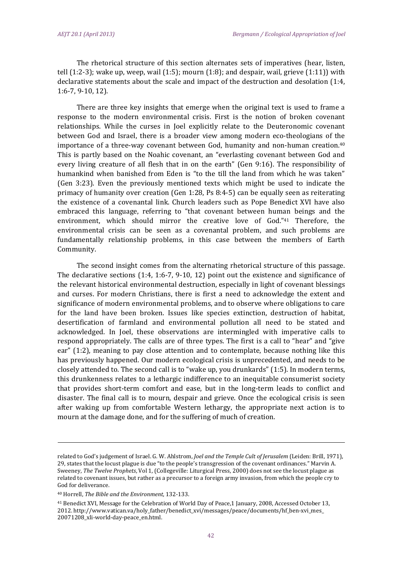The rhetorical structure of this section alternates sets of imperatives (hear, listen, tell  $(1:2-3)$ ; wake up, weep, wail  $(1:5)$ ; mourn  $(1:8)$ ; and despair, wail, grieve  $(1:11)$ ) with declarative statements about the scale and impact of the destruction and desolation (1:4, 1:6‐7, 9‐10, 12). 

There are three key insights that emerge when the original text is used to frame a response to the modern environmental crisis. First is the notion of broken covenant relationships. While the curses in Joel explicitly relate to the Deuteronomic covenant between God and Israel, there is a broader view among modern eco-theologians of the importance of a three-way covenant between God, humanity and non-human creation. $40$ This is partly based on the Noahic covenant, an "everlasting covenant between God and every living creature of all flesh that in on the earth" (Gen  $9:16$ ). The responsibility of humankind when banished from Eden is "to the till the land from which he was taken" (Gen 3:23). Even the previously mentioned texts which might be used to indicate the primacy of humanity over creation (Gen 1:28, Ps 8:4-5) can be equally seen as reiterating the existence of a covenantal link. Church leaders such as Pope Benedict XVI have also embraced this language, referring to "that covenant between human beings and the environment, which should mirror the creative love of God."<sup>41</sup> Therefore, the environmental crisis can be seen as a covenantal problem, and such problems are fundamentally relationship problems, in this case between the members of Earth Community. 

The second insight comes from the alternating rhetorical structure of this passage. The declarative sections  $(1:4, 1:6-7, 9-10, 12)$  point out the existence and significance of the relevant historical environmental destruction, especially in light of covenant blessings and curses. For modern Christians, there is first a need to acknowledge the extent and significance of modern environmental problems, and to observe where obligations to care for the land have been broken. Issues like species extinction, destruction of habitat, desertification of farmland and environmental pollution all need to be stated and acknowledged. In Joel, these observations are intermingled with imperative calls to respond appropriately. The calls are of three types. The first is a call to "hear" and "give ear"  $(1:2)$ , meaning to pay close attention and to contemplate, because nothing like this has previously happened. Our modern ecological crisis is unprecedented, and needs to be closely attended to. The second call is to "wake up, you drunkards"  $(1:5)$ . In modern terms, this drunkenness relates to a lethargic indifference to an inequitable consumerist society that provides short-term comfort and ease, but in the long-term leads to conflict and disaster. The final call is to mourn, despair and grieve. Once the ecological crisis is seen after waking up from comfortable Western lethargy, the appropriate next action is to mourn at the damage done, and for the suffering of much of creation.

<u> 2002 - Andrea San Andrea San Andrea San Andrea San Andrea San Andrea San Andrea San Andrea San Andrea San An</u>

related to God's judgement of Israel. G. W. Ahlstrom, *Joel and the Temple Cult of Jerusalem* (Leiden: Brill, 1971), 29, states that the locust plague is due "to the people's transgression of the covenant ordinances." Marvin A. Sweeney, *The Twelve Prophets*, Vol 1, (Collegeville: Liturgical Press, 2000) does not see the locust plague as related to covenant issues, but rather as a precursor to a foreign army invasion, from which the people cry to God for deliverance.

<sup>40</sup> Horrell, *The Bible and the Environment*, 132‐133. 

<sup>&</sup>lt;sup>41</sup> Benedict XVI, Message for the Celebration of World Day of Peace, 1 January, 2008, Accessed October 13, 2012. http://www.vatican.va/holy\_father/benedict\_xvi/messages/peace/documents/hf\_ben-xvi\_mes\_ 20071208\_xli‐world‐day‐peace\_en.html.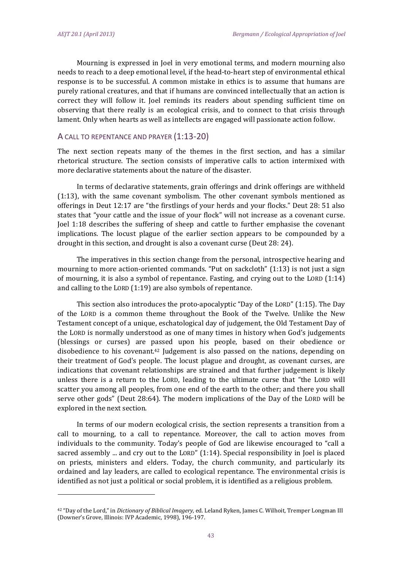Mourning is expressed in Joel in very emotional terms, and modern mourning also needs to reach to a deep emotional level, if the head-to-heart step of environmental ethical response is to be successful. A common mistake in ethics is to assume that humans are purely rational creatures, and that if humans are convinced intellectually that an action is correct they will follow it. Joel reminds its readers about spending sufficient time on observing that there really is an ecological crisis, and to connect to that crisis through lament. Only when hearts as well as intellects are engaged will passionate action follow.

#### A CALL TO REPENTANCE AND PRAYER (1:13‐20)

The next section repeats many of the themes in the first section, and has a similar rhetorical structure. The section consists of imperative calls to action intermixed with more declarative statements about the nature of the disaster.

In terms of declarative statements, grain offerings and drink offerings are withheld  $(1:13)$ , with the same covenant symbolism. The other covenant symbols mentioned as offerings in Deut  $12:17$  are "the firstlings of your herds and your flocks." Deut  $28:51$  also states that "your cattle and the issue of your flock" will not increase as a covenant curse. Joel 1:18 describes the suffering of sheep and cattle to further emphasise the covenant implications. The locust plague of the earlier section appears to be compounded by a drought in this section, and drought is also a covenant curse (Deut 28: 24).

The imperatives in this section change from the personal, introspective hearing and mourning to more action-oriented commands. "Put on sackcloth"  $(1:13)$  is not just a sign of mourning, it is also a symbol of repentance. Fasting, and crying out to the LORD  $(1:14)$ and calling to the LORD  $(1:19)$  are also symbols of repentance.

This section also introduces the proto-apocalyptic "Day of the LORD"  $(1:15)$ . The Day of the LORD is a common theme throughout the Book of the Twelve. Unlike the New Testament concept of a unique, eschatological day of judgement, the Old Testament Day of the LORD is normally understood as one of many times in history when God's judgements (blessings or curses) are passed upon his people, based on their obedience or disobedience to his covenant.<sup>42</sup> Judgement is also passed on the nations, depending on their treatment of God's people. The locust plague and drought, as covenant curses, are indications that covenant relationships are strained and that further judgement is likely unless there is a return to the LORD, leading to the ultimate curse that "the LORD will scatter you among all peoples, from one end of the earth to the other; and there you shall serve other gods" (Deut  $28:64$ ). The modern implications of the Day of the LORD will be explored in the next section.

In terms of our modern ecological crisis, the section represents a transition from a call to mourning, to a call to repentance. Moreover, the call to action moves from individuals to the community. Today's people of God are likewise encouraged to "call a sacred assembly ... and cry out to the LORD"  $(1:14)$ . Special responsibility in Joel is placed on priests, ministers and elders. Today, the church community, and particularly its ordained and lay leaders, are called to ecological repentance. The environmental crisis is identified as not just a political or social problem, it is identified as a religious problem.

<sup>&</sup>lt;sup>42</sup> "Day of the Lord," in *Dictionary of Biblical Imagery,* ed. Leland Ryken, James C. Wilhoit, Tremper Longman III (Downer's Grove, Illinois: IVP Academic, 1998), 196-197.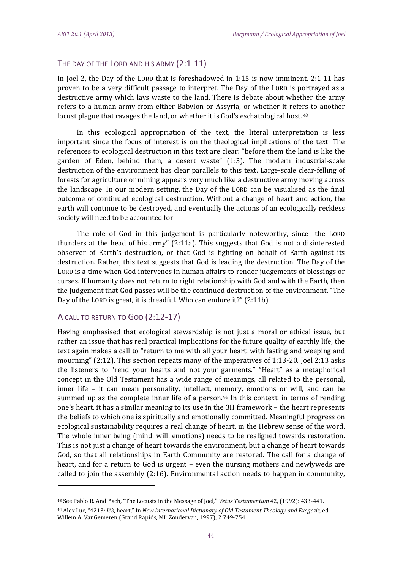#### THE DAY OF THE LORD AND HIS ARMY (2:1-11)

In Joel 2, the Day of the LORD that is foreshadowed in 1:15 is now imminent.  $2:1-11$  has proven to be a very difficult passage to interpret. The Day of the LORD is portrayed as a destructive army which lays waste to the land. There is debate about whether the army refers to a human army from either Babylon or Assyria, or whether it refers to another locust plague that ravages the land, or whether it is  $God's$  eschatological host.  $43$ 

In this ecological appropriation of the text, the literal interpretation is less important since the focus of interest is on the theological implications of the text. The references to ecological destruction in this text are clear: "before them the land is like the garden of Eden, behind them, a desert waste"  $(1:3)$ . The modern industrial-scale destruction of the environment has clear parallels to this text. Large-scale clear-felling of forests for agriculture or mining appears very much like a destructive army moving across the landscape. In our modern setting, the Day of the LORD can be visualised as the final outcome of continued ecological destruction. Without a change of heart and action, the earth will continue to be destroyed, and eventually the actions of an ecologically reckless society will need to be accounted for.

The role of God in this judgement is particularly noteworthy, since "the LORD thunders at the head of his army"  $(2:11a)$ . This suggests that God is not a disinterested observer of Earth's destruction, or that God is fighting on behalf of Earth against its destruction. Rather, this text suggests that God is leading the destruction. The Day of the LORD is a time when God intervenes in human affairs to render judgements of blessings or curses. If humanity does not return to right relationship with God and with the Earth, then the judgement that God passes will be the continued destruction of the environment. "The Day of the LORD is great, it is dreadful. Who can endure it?"  $(2:11b)$ .

## A CALL TO RETURN TO GOD (2:12‐17)

 

Having emphasised that ecological stewardship is not just a moral or ethical issue, but rather an issue that has real practical implications for the future quality of earthly life, the text again makes a call to "return to me with all your heart, with fasting and weeping and mourning"  $(2:12)$ . This section repeats many of the imperatives of 1:13-20. Joel 2:13 asks the listeners to "rend your hearts and not your garments." "Heart" as a metaphorical concept in the Old Testament has a wide range of meanings, all related to the personal, inner life  $-$  it can mean personality, intellect, memory, emotions or will, and can be summed up as the complete inner life of a person.<sup>44</sup> In this context, in terms of rending one's heart, it has a similar meaning to its use in the  $3H$  framework – the heart represents the beliefs to which one is spiritually and emotionally committed. Meaningful progress on ecological sustainability requires a real change of heart, in the Hebrew sense of the word. The whole inner being (mind, will, emotions) needs to be realigned towards restoration. This is not just a change of heart towards the environment, but a change of heart towards God, so that all relationships in Earth Community are restored. The call for a change of heart, and for a return to God is urgent – even the nursing mothers and newlyweds are called to join the assembly  $(2:16)$ . Environmental action needs to happen in community,

<sup>43</sup> See Pablo R. Andiñach, "The Locusts in the Message of Joel," *Vetus Testamentum* 42, (1992): 433-441.

<sup>44</sup> Alex Luc, "4213: *lēb*, heart," In *New International Dictionary of Old Testament Theology and Exegesis,* ed. Willem A. VanGemeren (Grand Rapids, MI: Zondervan, 1997), 2:749-754.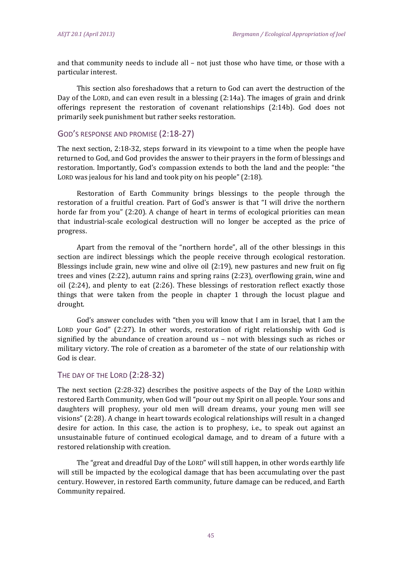and that community needs to include all - not just those who have time, or those with a particular interest.

This section also foreshadows that a return to God can avert the destruction of the Day of the LORD, and can even result in a blessing  $(2:14a)$ . The images of grain and drink offerings represent the restoration of covenant relationships (2:14b). God does not primarily seek punishment but rather seeks restoration.

#### GOD'S RESPONSE AND PROMISE (2:18‐27)

The next section,  $2:18-32$ , steps forward in its viewpoint to a time when the people have returned to God, and God provides the answer to their prayers in the form of blessings and restoration. Importantly, God's compassion extends to both the land and the people: "the LORD was jealous for his land and took pity on his people"  $(2:18)$ .

Restoration of Earth Community brings blessings to the people through the restoration of a fruitful creation. Part of God's answer is that "I will drive the northern horde far from you"  $(2:20)$ . A change of heart in terms of ecological priorities can mean that industrial-scale ecological destruction will no longer be accepted as the price of progress. 

Apart from the removal of the "northern horde", all of the other blessings in this section are indirect blessings which the people receive through ecological restoration. Blessings include grain, new wine and olive oil  $(2:19)$ , new pastures and new fruit on fig trees and vines  $(2:22)$ , autumn rains and spring rains  $(2:23)$ , overflowing grain, wine and oil  $(2:24)$ , and plenty to eat  $(2:26)$ . These blessings of restoration reflect exactly those things that were taken from the people in chapter 1 through the locust plague and drought. 

God's answer concludes with "then you will know that I am in Israel, that I am the LORD your  $God''$  (2:27). In other words, restoration of right relationship with  $God$  is signified by the abundance of creation around us  $-$  not with blessings such as riches or military victory. The role of creation as a barometer of the state of our relationship with God is clear.

#### THE DAY OF THE LORD (2:28‐32)

The next section  $(2:28-32)$  describes the positive aspects of the Day of the LORD within restored Earth Community, when God will "pour out my Spirit on all people. Your sons and daughters will prophesy, your old men will dream dreams, your young men will see visions"  $(2:28)$ . A change in heart towards ecological relationships will result in a changed desire for action. In this case, the action is to prophesy, i.e., to speak out against an unsustainable future of continued ecological damage, and to dream of a future with a restored relationship with creation.

The "great and dreadful Day of the LORD" will still happen, in other words earthly life will still be impacted by the ecological damage that has been accumulating over the past century. However, in restored Earth community, future damage can be reduced, and Earth Community repaired.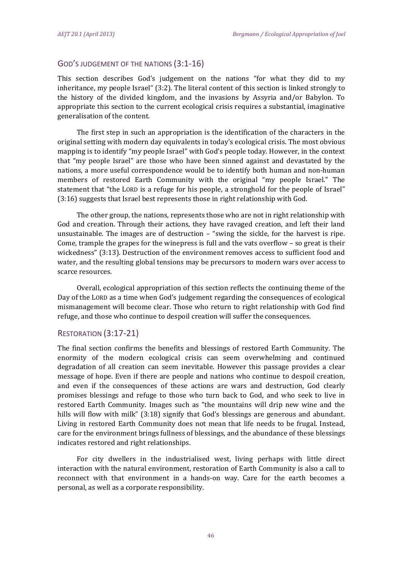# GOD'S JUDGEMENT OF THE NATIONS (3:1‐16)

This section describes God's judgement on the nations "for what they did to my inheritance, my people Israel"  $(3:2)$ . The literal content of this section is linked strongly to the history of the divided kingdom, and the invasions by Assyria and/or Babylon. To appropriate this section to the current ecological crisis requires a substantial, imaginative generalisation of the content.

The first step in such an appropriation is the identification of the characters in the original setting with modern day equivalents in today's ecological crisis. The most obvious mapping is to identify "my people Israel" with God's people today. However, in the context that "my people Israel" are those who have been sinned against and devastated by the nations, a more useful correspondence would be to identify both human and non-human members of restored Earth Community with the original "my people Israel." The statement that "the LORD is a refuge for his people, a stronghold for the people of Israel"  $(3:16)$  suggests that Israel best represents those in right relationship with God.

The other group, the nations, represents those who are not in right relationship with God and creation. Through their actions, they have ravaged creation, and left their land unsustainable. The images are of destruction  $-$  "swing the sickle, for the harvest is ripe. Come, trample the grapes for the winepress is full and the vats overflow  $-$  so great is their wickedness"  $(3:13)$ . Destruction of the environment removes access to sufficient food and water, and the resulting global tensions may be precursors to modern wars over access to scarce resources.

Overall, ecological appropriation of this section reflects the continuing theme of the Day of the LORD as a time when God's judgement regarding the consequences of ecological mismanagement will become clear. Those who return to right relationship with God find refuge, and those who continue to despoil creation will suffer the consequences.

#### RESTORATION (3:17‐21)

The final section confirms the benefits and blessings of restored Earth Community. The enormity of the modern ecological crisis can seem overwhelming and continued degradation of all creation can seem inevitable. However this passage provides a clear message of hope. Even if there are people and nations who continue to despoil creation, and even if the consequences of these actions are wars and destruction, God clearly promises blessings and refuge to those who turn back to God, and who seek to live in restored Earth Community. Images such as "the mountains will drip new wine and the hills will flow with milk"  $(3:18)$  signify that God's blessings are generous and abundant. Living in restored Earth Community does not mean that life needs to be frugal. Instead, care for the environment brings fullness of blessings, and the abundance of these blessings indicates restored and right relationships.

For city dwellers in the industrialised west, living perhaps with little direct interaction with the natural environment, restoration of Earth Community is also a call to reconnect with that environment in a hands-on way. Care for the earth becomes a personal, as well as a corporate responsibility.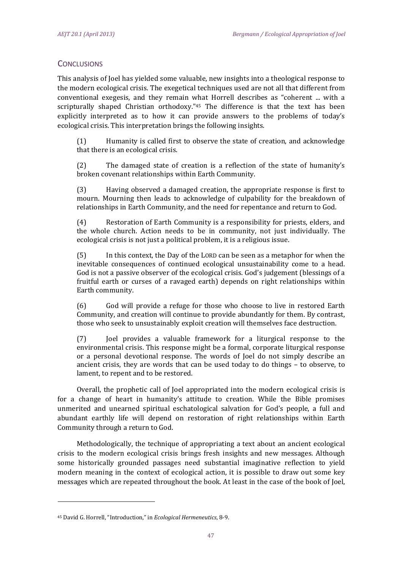# **CONCLUSIONS**

This analysis of Joel has yielded some valuable, new insights into a theological response to the modern ecological crisis. The exegetical techniques used are not all that different from conventional exegesis, and they remain what Horrell describes as "coherent ... with a scripturally shaped Christian orthodoxy."45 The difference is that the text has been explicitly interpreted as to how it can provide answers to the problems of today's ecological crisis. This interpretation brings the following insights.

(1) Humanity is called first to observe the state of creation, and acknowledge that there is an ecological crisis.

(2) The damaged state of creation is a reflection of the state of humanity's broken covenant relationships within Earth Community.

(3) Having observed a damaged creation, the appropriate response is first to mourn. Mourning then leads to acknowledge of culpability for the breakdown of relationships in Earth Community, and the need for repentance and return to God.

(4) Restoration of Earth Community is a responsibility for priests, elders, and the whole church. Action needs to be in community, not just individually. The ecological crisis is not just a political problem, it is a religious issue.

(5) In this context, the Day of the LORD can be seen as a metaphor for when the inevitable consequences of continued ecological unsustainability come to a head. God is not a passive observer of the ecological crisis. God's judgement (blessings of a fruitful earth or curses of a ravaged earth) depends on right relationships within Earth community.

(6) God will provide a refuge for those who choose to live in restored Earth Community, and creation will continue to provide abundantly for them. By contrast, those who seek to unsustainably exploit creation will themselves face destruction.

(7) Joel provides a valuable framework for a liturgical response to the environmental crisis. This response might be a formal, corporate liturgical response or a personal devotional response. The words of Joel do not simply describe an ancient crisis, they are words that can be used today to do things – to observe, to lament, to repent and to be restored.

Overall, the prophetic call of Joel appropriated into the modern ecological crisis is for a change of heart in humanity's attitude to creation. While the Bible promises unmerited and unearned spiritual eschatological salvation for God's people, a full and abundant earthly life will depend on restoration of right relationships within Earth Community through a return to God.

Methodologically, the technique of appropriating a text about an ancient ecological crisis to the modern ecological crisis brings fresh insights and new messages. Although some historically grounded passages need substantial imaginative reflection to yield modern meaning in the context of ecological action, it is possible to draw out some key messages which are repeated throughout the book. At least in the case of the book of Joel,

<sup>45</sup> David G. Horrell, "Introduction," in *Ecological Hermeneutics*, 8-9.